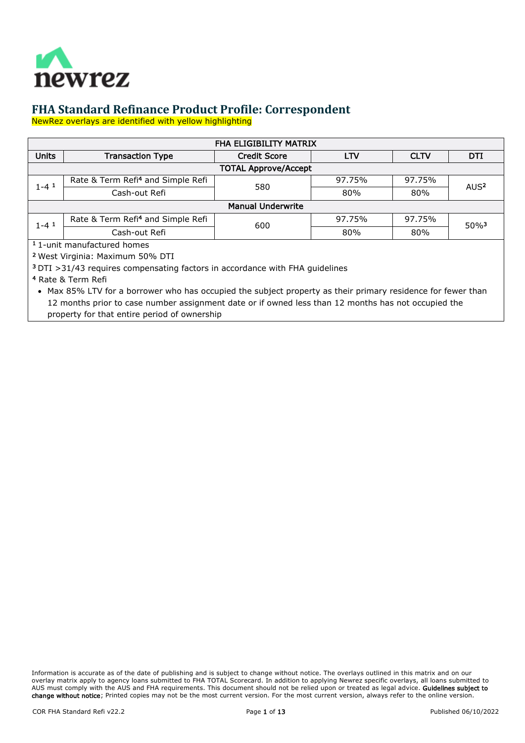

NewRez overlays are identified with yellow highlighting

| <b>FHA ELIGIBILITY MATRIX</b>                                                            |                                                                                                                                                                                                                     |                             |            |             |                     |
|------------------------------------------------------------------------------------------|---------------------------------------------------------------------------------------------------------------------------------------------------------------------------------------------------------------------|-----------------------------|------------|-------------|---------------------|
| <b>Units</b>                                                                             | <b>Transaction Type</b>                                                                                                                                                                                             | <b>Credit Score</b>         | <b>LTV</b> | <b>CLTV</b> | <b>DTI</b>          |
|                                                                                          |                                                                                                                                                                                                                     | <b>TOTAL Approve/Accept</b> |            |             |                     |
| $1 - 4$ <sup>1</sup>                                                                     | Rate & Term Refi <sup>4</sup> and Simple Refi                                                                                                                                                                       | 580                         | 97.75%     | 97.75%      | AUS <sup>2</sup>    |
|                                                                                          | Cash-out Refi                                                                                                                                                                                                       |                             | 80%        | 80%         |                     |
|                                                                                          | <b>Manual Underwrite</b>                                                                                                                                                                                            |                             |            |             |                     |
| $1 - 4$ <sup>1</sup>                                                                     | Rate & Term Refi <sup>4</sup> and Simple Refi                                                                                                                                                                       | 97.75%<br>600<br>80%        |            | 97.75%      | $50\%$ <sup>3</sup> |
|                                                                                          | Cash-out Refi                                                                                                                                                                                                       |                             | 80%        |             |                     |
|                                                                                          | <sup>1</sup> 1-unit manufactured homes                                                                                                                                                                              |                             |            |             |                     |
|                                                                                          | <sup>2</sup> West Virginia: Maximum 50% DTI                                                                                                                                                                         |                             |            |             |                     |
| <sup>3</sup> DTI > 31/43 requires compensating factors in accordance with FHA guidelines |                                                                                                                                                                                                                     |                             |            |             |                     |
| <sup>4</sup> Rate & Term Refi                                                            |                                                                                                                                                                                                                     |                             |            |             |                     |
|                                                                                          | • Max 85% LTV for a borrower who has occupied the subject property as their primary residence for fewer than<br>12 months prior to case number assignment date or if owned less than 12 months has not occupied the |                             |            |             |                     |

property for that entire period of ownership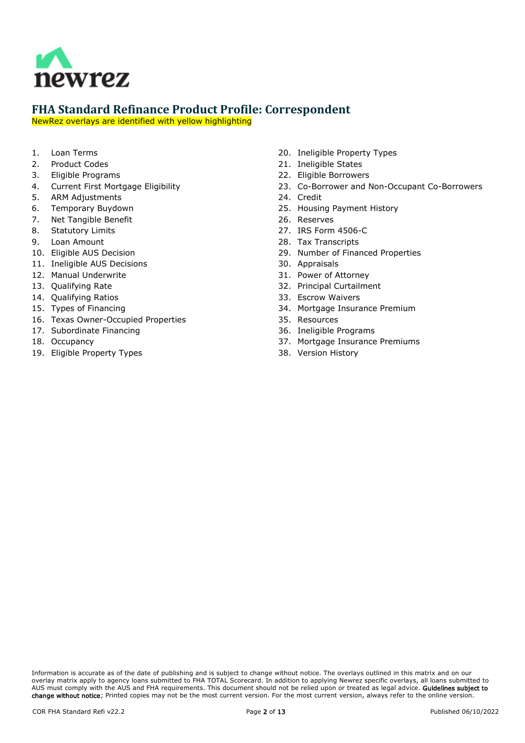

NewRez overlays are identified with yellow highlighting

- 1. [Loan Terms](#page-2-0)
- 2. [Product Codes](#page-2-1)
- 3. [Eligible Programs](#page-2-2)
- 4. [Current First Mortgage Eligibility](#page-2-3)
- 5. [ARM Adjustments](#page-2-4)
- 6. [Temporary Buydown](#page-3-0)
- 7. [Net Tangible Benefit](#page-3-1)
- 8. [Statutory Limits](#page-3-2)
- 9. [Loan Amount](#page-3-3)
- 10. [Eligible AUS Decision](#page-3-4)
- 11. [Ineligible AUS Decisions](#page-3-5)
- 12. [Manual Underwrite](#page-3-6)
- 13. [Qualifying Rate](#page-3-7)
- 14. [Qualifying Ratios](#page-3-8)
- 15. [Types of Financing](#page-4-0)
- 16. [Texas Owner-Occupied Properties](#page-4-1)
- 17. [Subordinate Financing](#page-5-0)
- 18. [Occupancy](#page-5-1)
- 19. [Eligible Property Types](#page-5-2)
- 20. [Ineligible Property Types](#page-6-0)
- 21. [Ineligible States](#page-6-1)
- 22. [Eligible Borrowers](#page-6-2)
- 23. [Co-Borrower and Non-Occupant Co-Borrowers](#page-6-3)
- 24. [Credit](#page-6-4)
- 25. [Housing Payment History](#page-6-5)
- 26. [Reserves](#page-8-0)
- 27. [IRS Form 4506-C](#page-8-1)
- 28. [Tax Transcripts](#page-8-2)
- 29. [Number of Financed Properties](#page-9-0)
- 30. [Appraisals](#page-9-1)
- 31. [Power of Attorney](#page-9-2)
- 32. [Principal Curtailment](#page-9-3)
- 33. [Escrow Waivers](#page-9-4)
- 34. [Mortgage Insurance Premium](#page-9-5)
- 35. [Resources](#page-9-6)
- 36. [Ineligible Programs](#page-9-7)
- 37. [Mortgage Insurance Premiums](#page-10-0)
- 38. [Version History](#page-11-0)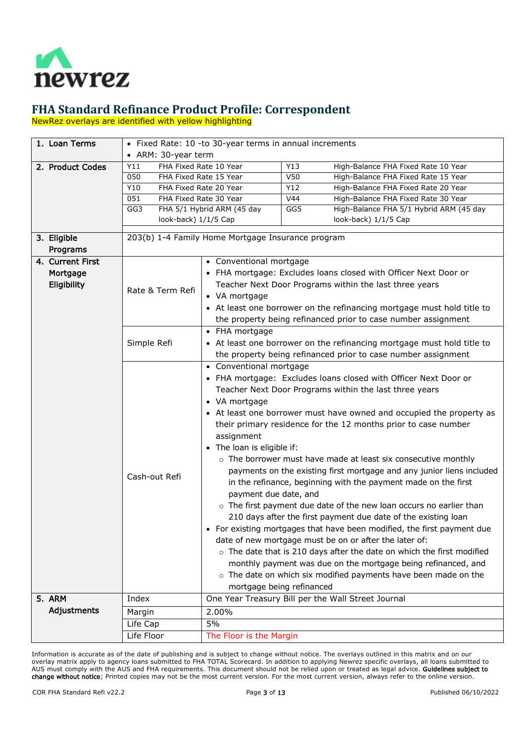

NewRez overlays are identified with yellow highlighting

<span id="page-2-4"></span><span id="page-2-3"></span><span id="page-2-2"></span><span id="page-2-1"></span><span id="page-2-0"></span>

| 1. Loan Terms                         | • Fixed Rate: 10 -to 30-year terms in annual increments       |                                                                      |     |                                                                         |  |
|---------------------------------------|---------------------------------------------------------------|----------------------------------------------------------------------|-----|-------------------------------------------------------------------------|--|
|                                       | • ARM: 30-year term                                           |                                                                      |     |                                                                         |  |
| 2. Product Codes                      | FHA Fixed Rate 10 Year<br>Y11                                 |                                                                      | Y13 | High-Balance FHA Fixed Rate 10 Year                                     |  |
|                                       | 050                                                           | FHA Fixed Rate 15 Year                                               | V50 | High-Balance FHA Fixed Rate 15 Year                                     |  |
|                                       | Y10                                                           | FHA Fixed Rate 20 Year                                               | Y12 | High-Balance FHA Fixed Rate 20 Year                                     |  |
|                                       | 051                                                           | FHA Fixed Rate 30 Year                                               | V44 | High-Balance FHA Fixed Rate 30 Year                                     |  |
|                                       | GG3<br>look-back) 1/1/5 Cap                                   | FHA 5/1 Hybrid ARM (45 day                                           | GG5 | High-Balance FHA 5/1 Hybrid ARM (45 day<br>look-back) 1/1/5 Cap         |  |
|                                       |                                                               |                                                                      |     |                                                                         |  |
| 3. Eligible                           |                                                               | 203(b) 1-4 Family Home Mortgage Insurance program                    |     |                                                                         |  |
| Programs                              |                                                               |                                                                      |     |                                                                         |  |
| 4. Current First                      |                                                               | • Conventional mortgage                                              |     |                                                                         |  |
| Mortgage                              |                                                               |                                                                      |     | • FHA mortgage: Excludes loans closed with Officer Next Door or         |  |
| Eligibility                           |                                                               |                                                                      |     | Teacher Next Door Programs within the last three years                  |  |
|                                       | Rate & Term Refi                                              | • VA mortgage                                                        |     |                                                                         |  |
|                                       |                                                               |                                                                      |     | • At least one borrower on the refinancing mortgage must hold title to  |  |
|                                       | the property being refinanced prior to case number assignment |                                                                      |     |                                                                         |  |
|                                       |                                                               | • FHA mortgage                                                       |     |                                                                         |  |
|                                       | Simple Refi                                                   |                                                                      |     | • At least one borrower on the refinancing mortgage must hold title to  |  |
|                                       |                                                               |                                                                      |     | the property being refinanced prior to case number assignment           |  |
|                                       | • Conventional mortgage                                       |                                                                      |     |                                                                         |  |
|                                       |                                                               |                                                                      |     | • FHA mortgage: Excludes loans closed with Officer Next Door or         |  |
|                                       |                                                               |                                                                      |     | Teacher Next Door Programs within the last three years                  |  |
|                                       |                                                               | • VA mortgage                                                        |     |                                                                         |  |
|                                       |                                                               | • At least one borrower must have owned and occupied the property as |     |                                                                         |  |
|                                       |                                                               | their primary residence for the 12 months prior to case number       |     |                                                                         |  |
|                                       |                                                               | assignment                                                           |     |                                                                         |  |
|                                       |                                                               | • The loan is eligible if:                                           |     |                                                                         |  |
|                                       |                                                               |                                                                      |     | o The borrower must have made at least six consecutive monthly          |  |
|                                       |                                                               |                                                                      |     | payments on the existing first mortgage and any junior liens included   |  |
|                                       | Cash-out Refi                                                 |                                                                      |     | in the refinance, beginning with the payment made on the first          |  |
|                                       |                                                               | payment due date, and                                                |     |                                                                         |  |
|                                       |                                                               |                                                                      |     | o The first payment due date of the new loan occurs no earlier than     |  |
|                                       |                                                               |                                                                      |     | 210 days after the first payment due date of the existing loan          |  |
|                                       |                                                               |                                                                      |     | • For existing mortgages that have been modified, the first payment due |  |
|                                       |                                                               |                                                                      |     | date of new mortgage must be on or after the later of:                  |  |
|                                       |                                                               |                                                                      |     | o The date that is 210 days after the date on which the first modified  |  |
|                                       |                                                               |                                                                      |     | monthly payment was due on the mortgage being refinanced, and           |  |
|                                       |                                                               |                                                                      |     | o The date on which six modified payments have been made on the         |  |
|                                       |                                                               | mortgage being refinanced                                            |     |                                                                         |  |
| 5. ARM                                | Index                                                         |                                                                      |     | One Year Treasury Bill per the Wall Street Journal                      |  |
| Adjustments                           | Margin                                                        | 2.00%                                                                |     |                                                                         |  |
|                                       | Life Cap                                                      | 5%                                                                   |     |                                                                         |  |
| Life Floor<br>The Floor is the Margin |                                                               |                                                                      |     |                                                                         |  |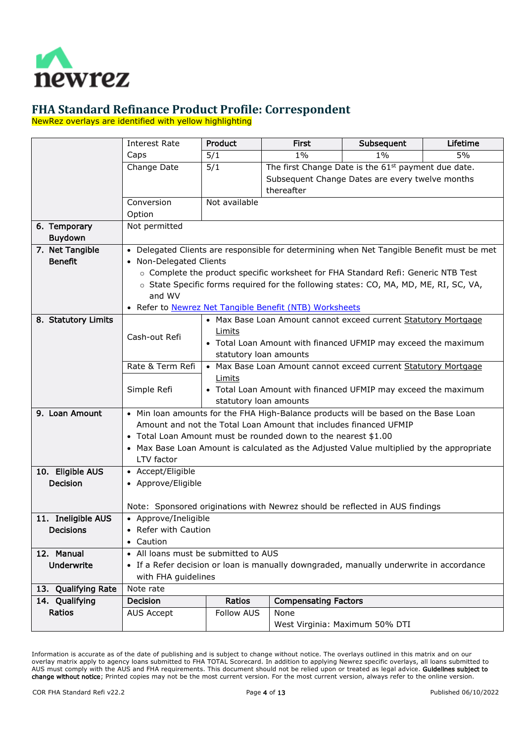

NewRez overlays are identified with yellow highlighting

<span id="page-3-8"></span><span id="page-3-7"></span><span id="page-3-6"></span><span id="page-3-5"></span><span id="page-3-4"></span><span id="page-3-3"></span><span id="page-3-2"></span><span id="page-3-1"></span><span id="page-3-0"></span>

|                         | <b>Interest Rate</b>                 | <b>Product</b>                                                           | <b>First</b>                                                                                                                     | Subsequent                                                                                                                                                                 | Lifetime         |  |
|-------------------------|--------------------------------------|--------------------------------------------------------------------------|----------------------------------------------------------------------------------------------------------------------------------|----------------------------------------------------------------------------------------------------------------------------------------------------------------------------|------------------|--|
|                         | Caps                                 | 5/1                                                                      | $1\%$                                                                                                                            | $1\%$                                                                                                                                                                      | $\overline{5\%}$ |  |
|                         | Change Date                          | 5/1                                                                      | The first Change Date is the 61 <sup>st</sup> payment due date.<br>Subsequent Change Dates are every twelve months<br>thereafter |                                                                                                                                                                            |                  |  |
|                         | Conversion<br>Option                 | Not available                                                            |                                                                                                                                  |                                                                                                                                                                            |                  |  |
| 6. Temporary<br>Buydown | Not permitted                        |                                                                          |                                                                                                                                  |                                                                                                                                                                            |                  |  |
| 7. Net Tangible         |                                      |                                                                          |                                                                                                                                  | • Delegated Clients are responsible for determining when Net Tangible Benefit must be met                                                                                  |                  |  |
| <b>Benefit</b>          | • Non-Delegated Clients              |                                                                          |                                                                                                                                  |                                                                                                                                                                            |                  |  |
|                         |                                      |                                                                          |                                                                                                                                  | o Complete the product specific worksheet for FHA Standard Refi: Generic NTB Test<br>o State Specific forms required for the following states: CO, MA, MD, ME, RI, SC, VA, |                  |  |
|                         | and WV                               |                                                                          |                                                                                                                                  |                                                                                                                                                                            |                  |  |
|                         |                                      |                                                                          | • Refer to Newrez Net Tangible Benefit (NTB) Worksheets                                                                          |                                                                                                                                                                            |                  |  |
| 8. Statutory Limits     |                                      |                                                                          |                                                                                                                                  | • Max Base Loan Amount cannot exceed current Statutory Mortgage                                                                                                            |                  |  |
|                         | Cash-out Refi                        | Limits                                                                   |                                                                                                                                  |                                                                                                                                                                            |                  |  |
|                         |                                      |                                                                          | • Total Loan Amount with financed UFMIP may exceed the maximum                                                                   |                                                                                                                                                                            |                  |  |
|                         |                                      | statutory loan amounts                                                   |                                                                                                                                  |                                                                                                                                                                            |                  |  |
|                         | Rate & Term Refi                     | • Max Base Loan Amount cannot exceed current Statutory Mortgage          |                                                                                                                                  |                                                                                                                                                                            |                  |  |
|                         | Simple Refi                          | Limits<br>• Total Loan Amount with financed UFMIP may exceed the maximum |                                                                                                                                  |                                                                                                                                                                            |                  |  |
|                         |                                      | statutory loan amounts                                                   |                                                                                                                                  |                                                                                                                                                                            |                  |  |
| 9. Loan Amount          |                                      |                                                                          |                                                                                                                                  | • Min loan amounts for the FHA High-Balance products will be based on the Base Loan                                                                                        |                  |  |
|                         |                                      |                                                                          | Amount and not the Total Loan Amount that includes financed UFMIP                                                                |                                                                                                                                                                            |                  |  |
|                         |                                      |                                                                          | • Total Loan Amount must be rounded down to the nearest \$1.00                                                                   |                                                                                                                                                                            |                  |  |
|                         |                                      |                                                                          |                                                                                                                                  | • Max Base Loan Amount is calculated as the Adjusted Value multiplied by the appropriate                                                                                   |                  |  |
|                         | LTV factor                           |                                                                          |                                                                                                                                  |                                                                                                                                                                            |                  |  |
| 10. Eligible AUS        | • Accept/Eligible                    |                                                                          |                                                                                                                                  |                                                                                                                                                                            |                  |  |
| <b>Decision</b>         | • Approve/Eligible                   |                                                                          |                                                                                                                                  |                                                                                                                                                                            |                  |  |
|                         |                                      |                                                                          |                                                                                                                                  | Note: Sponsored originations with Newrez should be reflected in AUS findings                                                                                               |                  |  |
| 11. Ineligible AUS      | • Approve/Ineligible                 |                                                                          |                                                                                                                                  |                                                                                                                                                                            |                  |  |
| <b>Decisions</b>        | • Refer with Caution                 |                                                                          |                                                                                                                                  |                                                                                                                                                                            |                  |  |
|                         | • Caution                            |                                                                          |                                                                                                                                  |                                                                                                                                                                            |                  |  |
| 12. Manual              | • All loans must be submitted to AUS |                                                                          |                                                                                                                                  |                                                                                                                                                                            |                  |  |
| <b>Underwrite</b>       | with FHA guidelines                  |                                                                          |                                                                                                                                  | • If a Refer decision or loan is manually downgraded, manually underwrite in accordance                                                                                    |                  |  |
| 13. Qualifying Rate     | Note rate                            |                                                                          |                                                                                                                                  |                                                                                                                                                                            |                  |  |
| 14. Qualifying          | Decision                             | Ratios                                                                   | <b>Compensating Factors</b>                                                                                                      |                                                                                                                                                                            |                  |  |
| Ratios                  | <b>AUS Accept</b>                    | <b>Follow AUS</b>                                                        | None                                                                                                                             |                                                                                                                                                                            |                  |  |
|                         |                                      |                                                                          |                                                                                                                                  | West Virginia: Maximum 50% DTI                                                                                                                                             |                  |  |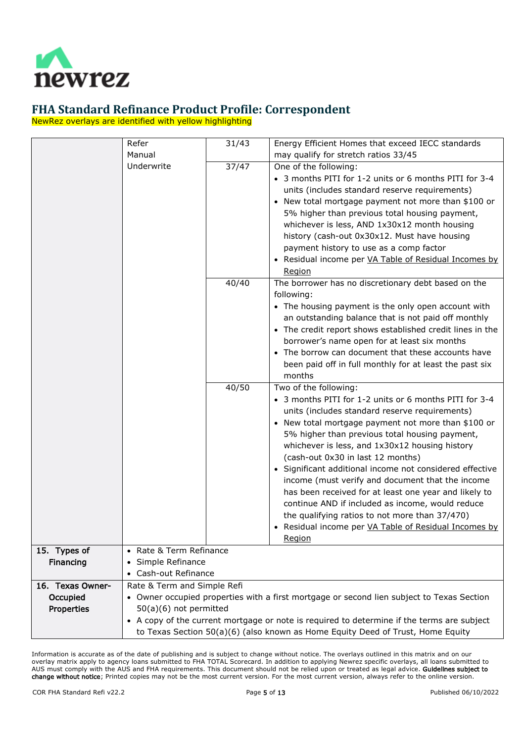

NewRez overlays are identified with yellow highlighting

<span id="page-4-1"></span><span id="page-4-0"></span>

|                  | Refer                                                                           | 31/43 | Energy Efficient Homes that exceed IECC standards                                          |  |
|------------------|---------------------------------------------------------------------------------|-------|--------------------------------------------------------------------------------------------|--|
|                  | Manual                                                                          |       | may qualify for stretch ratios 33/45                                                       |  |
|                  | Underwrite                                                                      | 37/47 | One of the following:                                                                      |  |
|                  |                                                                                 |       | • 3 months PITI for 1-2 units or 6 months PITI for 3-4                                     |  |
|                  |                                                                                 |       | units (includes standard reserve requirements)                                             |  |
|                  |                                                                                 |       | New total mortgage payment not more than \$100 or                                          |  |
|                  |                                                                                 |       | 5% higher than previous total housing payment,                                             |  |
|                  |                                                                                 |       | whichever is less, AND 1x30x12 month housing                                               |  |
|                  |                                                                                 |       | history (cash-out 0x30x12. Must have housing                                               |  |
|                  |                                                                                 |       | payment history to use as a comp factor                                                    |  |
|                  |                                                                                 |       | • Residual income per VA Table of Residual Incomes by                                      |  |
|                  |                                                                                 |       | <b>Region</b>                                                                              |  |
|                  |                                                                                 | 40/40 | The borrower has no discretionary debt based on the                                        |  |
|                  |                                                                                 |       | following:                                                                                 |  |
|                  |                                                                                 |       | • The housing payment is the only open account with                                        |  |
|                  |                                                                                 |       | an outstanding balance that is not paid off monthly                                        |  |
|                  |                                                                                 |       | • The credit report shows established credit lines in the                                  |  |
|                  |                                                                                 |       | borrower's name open for at least six months                                               |  |
|                  |                                                                                 |       | • The borrow can document that these accounts have                                         |  |
|                  |                                                                                 |       | been paid off in full monthly for at least the past six                                    |  |
|                  |                                                                                 |       | months                                                                                     |  |
|                  |                                                                                 | 40/50 | Two of the following:                                                                      |  |
|                  |                                                                                 |       | • 3 months PITI for 1-2 units or 6 months PITI for 3-4                                     |  |
|                  |                                                                                 |       | units (includes standard reserve requirements)                                             |  |
|                  |                                                                                 |       | • New total mortgage payment not more than \$100 or                                        |  |
|                  |                                                                                 |       | 5% higher than previous total housing payment,                                             |  |
|                  |                                                                                 |       | whichever is less, and 1x30x12 housing history                                             |  |
|                  |                                                                                 |       | (cash-out 0x30 in last 12 months)                                                          |  |
|                  |                                                                                 |       | • Significant additional income not considered effective                                   |  |
|                  |                                                                                 |       | income (must verify and document that the income                                           |  |
|                  |                                                                                 |       | has been received for at least one year and likely to                                      |  |
|                  |                                                                                 |       | continue AND if included as income, would reduce                                           |  |
|                  |                                                                                 |       | the qualifying ratios to not more than 37/470)                                             |  |
|                  |                                                                                 |       | Residual income per VA Table of Residual Incomes by                                        |  |
|                  |                                                                                 |       | Region                                                                                     |  |
| 15. Types of     | • Rate & Term Refinance                                                         |       |                                                                                            |  |
| Financing        | Simple Refinance<br>$\bullet$                                                   |       |                                                                                            |  |
|                  | Cash-out Refinance                                                              |       |                                                                                            |  |
| 16. Texas Owner- | Rate & Term and Simple Refi                                                     |       |                                                                                            |  |
| Occupied         |                                                                                 |       | • Owner occupied properties with a first mortgage or second lien subject to Texas Section  |  |
| Properties       | 50(a)(6) not permitted                                                          |       |                                                                                            |  |
|                  |                                                                                 |       | • A copy of the current mortgage or note is required to determine if the terms are subject |  |
|                  | to Texas Section 50(a)(6) (also known as Home Equity Deed of Trust, Home Equity |       |                                                                                            |  |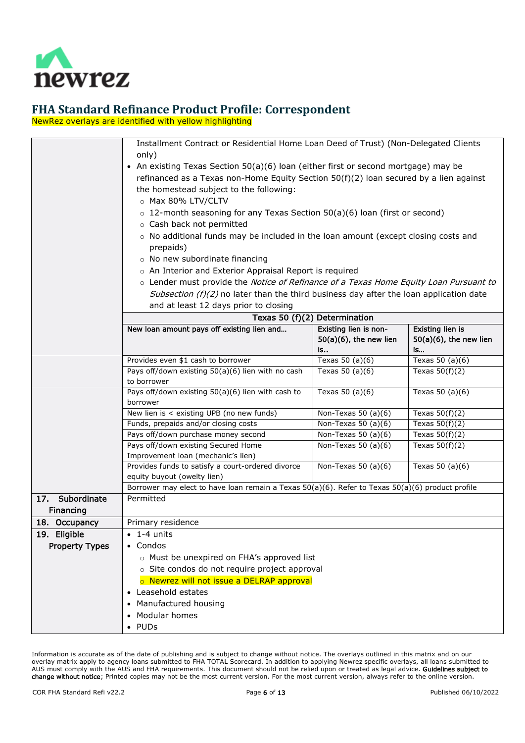

NewRez overlays are identified with yellow highlighting

<span id="page-5-2"></span><span id="page-5-1"></span><span id="page-5-0"></span>

|                       | Installment Contract or Residential Home Loan Deed of Trust) (Non-Delegated Clients                                             |                               |                           |  |  |
|-----------------------|---------------------------------------------------------------------------------------------------------------------------------|-------------------------------|---------------------------|--|--|
|                       | only)                                                                                                                           |                               |                           |  |  |
|                       | • An existing Texas Section 50(a)(6) loan (either first or second mortgage) may be                                              |                               |                           |  |  |
|                       | refinanced as a Texas non-Home Equity Section $50(f)(2)$ loan secured by a lien against                                         |                               |                           |  |  |
|                       | the homestead subject to the following:                                                                                         |                               |                           |  |  |
|                       | o Max 80% LTV/CLTV                                                                                                              |                               |                           |  |  |
|                       |                                                                                                                                 |                               |                           |  |  |
|                       | $\circ$ 12-month seasoning for any Texas Section 50(a)(6) loan (first or second)                                                |                               |                           |  |  |
|                       | o Cash back not permitted                                                                                                       |                               |                           |  |  |
|                       | $\circ$ No additional funds may be included in the loan amount (except closing costs and                                        |                               |                           |  |  |
|                       | prepaids)                                                                                                                       |                               |                           |  |  |
|                       | o No new subordinate financing                                                                                                  |                               |                           |  |  |
|                       | o An Interior and Exterior Appraisal Report is required                                                                         |                               |                           |  |  |
|                       | o Lender must provide the Notice of Refinance of a Texas Home Equity Loan Pursuant to                                           |                               |                           |  |  |
|                       | Subsection (f)(2) no later than the third business day after the loan application date                                          |                               |                           |  |  |
|                       | and at least 12 days prior to closing                                                                                           |                               |                           |  |  |
|                       |                                                                                                                                 | Texas 50 (f)(2) Determination |                           |  |  |
|                       | New loan amount pays off existing lien and                                                                                      | Existing lien is non-         | Existing lien is          |  |  |
|                       |                                                                                                                                 | $50(a)(6)$ , the new lien     | $50(a)(6)$ , the new lien |  |  |
|                       |                                                                                                                                 | is                            | is                        |  |  |
|                       | Provides even \$1 cash to borrower                                                                                              | Texas 50 $(a)(6)$             | Texas 50 $(a)(6)$         |  |  |
|                       | Pays off/down existing 50(a)(6) lien with no cash                                                                               | Texas $50$ (a)(6)             | Texas $50(f)(2)$          |  |  |
|                       | to borrower                                                                                                                     |                               |                           |  |  |
|                       | Pays off/down existing 50(a)(6) lien with cash to<br>Texas $50$ (a)(6)                                                          |                               | Texas $50$ (a)(6)         |  |  |
|                       | borrower                                                                                                                        |                               |                           |  |  |
|                       | New lien is < existing UPB (no new funds)<br>Non-Texas 50 $(a)(6)$<br>Texas $50(f)(2)$                                          |                               |                           |  |  |
|                       | Funds, prepaids and/or closing costs<br>Non-Texas 50 $(a)(6)$<br>Texas $50(f)(2)$                                               |                               |                           |  |  |
|                       | Pays off/down purchase money second                                                                                             | Non-Texas 50 $(a)(6)$         | Texas $50(f)(2)$          |  |  |
|                       | Pays off/down existing Secured Home                                                                                             | Non-Texas 50 $(a)(6)$         | Texas $50(f)(2)$          |  |  |
|                       | Improvement loan (mechanic's lien)                                                                                              |                               |                           |  |  |
|                       | Provides funds to satisfy a court-ordered divorce                                                                               | Non-Texas 50 $(a)(6)$         | Texas $50$ (a)(6)         |  |  |
|                       | equity buyout (owelty lien)<br>Borrower may elect to have loan remain a Texas 50(a)(6). Refer to Texas 50(a)(6) product profile |                               |                           |  |  |
| 17. Subordinate       |                                                                                                                                 |                               |                           |  |  |
|                       | Permitted                                                                                                                       |                               |                           |  |  |
| Financing             |                                                                                                                                 |                               |                           |  |  |
| 18. Occupancy         | Primary residence                                                                                                               |                               |                           |  |  |
| 19. Eligible          | 1-4 units                                                                                                                       |                               |                           |  |  |
| <b>Property Types</b> | Condos                                                                                                                          |                               |                           |  |  |
|                       | o Must be unexpired on FHA's approved list                                                                                      |                               |                           |  |  |
|                       | o Site condos do not require project approval                                                                                   |                               |                           |  |  |
|                       | o Newrez will not issue a DELRAP approval                                                                                       |                               |                           |  |  |
|                       | • Leasehold estates                                                                                                             |                               |                           |  |  |
|                       | Manufactured housing                                                                                                            |                               |                           |  |  |
|                       | • Modular homes                                                                                                                 |                               |                           |  |  |
|                       | $\bullet$ PUDs                                                                                                                  |                               |                           |  |  |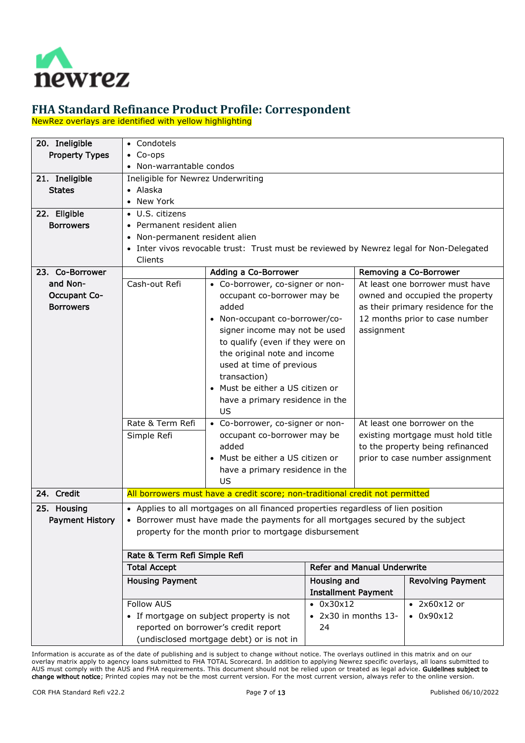

NewRez overlays are identified with yellow highlighting

<span id="page-6-5"></span><span id="page-6-4"></span><span id="page-6-3"></span><span id="page-6-2"></span><span id="page-6-1"></span><span id="page-6-0"></span>

| 20. Ineligible         | • Condotels                                                       |                                                                                         |                   |                                   |                                    |
|------------------------|-------------------------------------------------------------------|-----------------------------------------------------------------------------------------|-------------------|-----------------------------------|------------------------------------|
| <b>Property Types</b>  | $\bullet$ Co-ops                                                  |                                                                                         |                   |                                   |                                    |
|                        | • Non-warrantable condos                                          |                                                                                         |                   |                                   |                                    |
| 21. Ineligible         | Ineligible for Newrez Underwriting                                |                                                                                         |                   |                                   |                                    |
| <b>States</b>          | • Alaska                                                          |                                                                                         |                   |                                   |                                    |
|                        | • New York                                                        |                                                                                         |                   |                                   |                                    |
| 22. Eligible           | • U.S. citizens                                                   |                                                                                         |                   |                                   |                                    |
| <b>Borrowers</b>       | Permanent resident alien<br>$\bullet$                             |                                                                                         |                   |                                   |                                    |
|                        | Non-permanent resident alien<br>$\bullet$                         |                                                                                         |                   |                                   |                                    |
|                        |                                                                   | • Inter vivos revocable trust: Trust must be reviewed by Newrez legal for Non-Delegated |                   |                                   |                                    |
|                        | Clients                                                           |                                                                                         |                   |                                   |                                    |
| 23. Co-Borrower        |                                                                   | Adding a Co-Borrower                                                                    |                   |                                   | Removing a Co-Borrower             |
| and Non-               | Cash-out Refi                                                     | • Co-borrower, co-signer or non-                                                        |                   |                                   | At least one borrower must have    |
| <b>Occupant Co-</b>    |                                                                   | occupant co-borrower may be                                                             |                   |                                   | owned and occupied the property    |
| <b>Borrowers</b>       |                                                                   | added                                                                                   |                   |                                   | as their primary residence for the |
|                        |                                                                   | Non-occupant co-borrower/co-                                                            |                   |                                   | 12 months prior to case number     |
|                        |                                                                   | signer income may not be used                                                           |                   | assignment                        |                                    |
|                        |                                                                   | to qualify (even if they were on                                                        |                   |                                   |                                    |
|                        |                                                                   | the original note and income                                                            |                   |                                   |                                    |
|                        |                                                                   | used at time of previous                                                                |                   |                                   |                                    |
|                        |                                                                   | transaction)                                                                            |                   |                                   |                                    |
|                        |                                                                   | Must be either a US citizen or                                                          |                   |                                   |                                    |
|                        |                                                                   | have a primary residence in the                                                         |                   |                                   |                                    |
|                        |                                                                   | US                                                                                      |                   |                                   |                                    |
|                        | Rate & Term Refi                                                  | • Co-borrower, co-signer or non-                                                        |                   |                                   | At least one borrower on the       |
|                        | Simple Refi                                                       | occupant co-borrower may be                                                             |                   | existing mortgage must hold title |                                    |
|                        |                                                                   | added                                                                                   |                   | to the property being refinanced  |                                    |
|                        |                                                                   | Must be either a US citizen or                                                          |                   |                                   | prior to case number assignment    |
|                        |                                                                   | have a primary residence in the                                                         |                   |                                   |                                    |
|                        |                                                                   | US                                                                                      |                   |                                   |                                    |
| 24. Credit             |                                                                   | All borrowers must have a credit score; non-traditional credit not permitted            |                   |                                   |                                    |
|                        |                                                                   |                                                                                         |                   |                                   |                                    |
| 25. Housing            |                                                                   | • Applies to all mortgages on all financed properties regardless of lien position       |                   |                                   |                                    |
| <b>Payment History</b> |                                                                   | • Borrower must have made the payments for all mortgages secured by the subject         |                   |                                   |                                    |
|                        | property for the month prior to mortgage disbursement             |                                                                                         |                   |                                   |                                    |
|                        | Rate & Term Refi Simple Refi                                      |                                                                                         |                   |                                   |                                    |
|                        | <b>Refer and Manual Underwrite</b><br><b>Total Accept</b>         |                                                                                         |                   |                                   |                                    |
|                        | <b>Housing Payment</b><br>Housing and<br><b>Revolving Payment</b> |                                                                                         |                   |                                   |                                    |
|                        |                                                                   | <b>Installment Payment</b>                                                              |                   |                                   |                                    |
|                        | <b>Follow AUS</b>                                                 |                                                                                         | $\bullet$ 0x30x12 |                                   | $\bullet$ 2x60x12 or               |
|                        |                                                                   | • If mortgage on subject property is not                                                |                   | • 2x30 in months 13-              | $-0x90x12$                         |
|                        |                                                                   | reported on borrower's credit report                                                    | 24                |                                   |                                    |
|                        |                                                                   | (undisclosed mortgage debt) or is not in                                                |                   |                                   |                                    |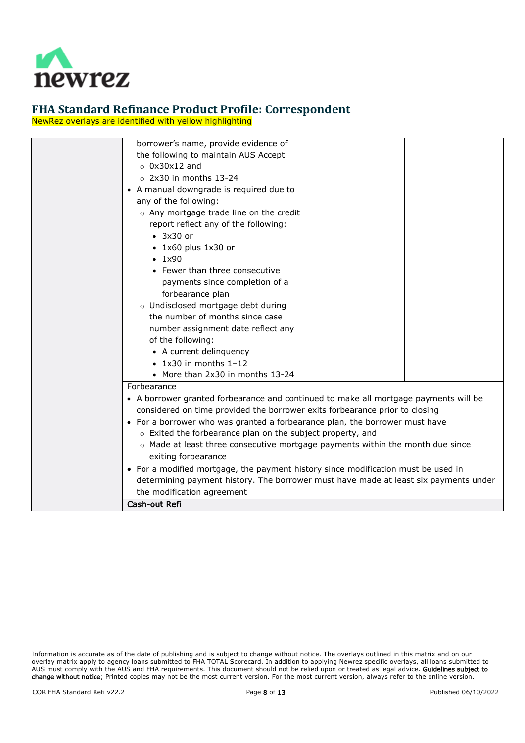

NewRez overlays are identified with yellow highlighting

| borrower's name, provide evidence of                                                                        |  |  |  |  |  |
|-------------------------------------------------------------------------------------------------------------|--|--|--|--|--|
| the following to maintain AUS Accept                                                                        |  |  |  |  |  |
| $\circ$ 0x30x12 and                                                                                         |  |  |  |  |  |
| $\circ$ 2x30 in months 13-24                                                                                |  |  |  |  |  |
| • A manual downgrade is required due to                                                                     |  |  |  |  |  |
| any of the following:                                                                                       |  |  |  |  |  |
| o Any mortgage trade line on the credit                                                                     |  |  |  |  |  |
| report reflect any of the following:                                                                        |  |  |  |  |  |
| $\bullet$ 3x30 or                                                                                           |  |  |  |  |  |
| $\bullet$ 1x60 plus 1x30 or                                                                                 |  |  |  |  |  |
| $\cdot$ 1x90                                                                                                |  |  |  |  |  |
| • Fewer than three consecutive                                                                              |  |  |  |  |  |
| payments since completion of a                                                                              |  |  |  |  |  |
| forbearance plan                                                                                            |  |  |  |  |  |
| o Undisclosed mortgage debt during                                                                          |  |  |  |  |  |
| the number of months since case                                                                             |  |  |  |  |  |
| number assignment date reflect any                                                                          |  |  |  |  |  |
| of the following:                                                                                           |  |  |  |  |  |
| • A current delinquency                                                                                     |  |  |  |  |  |
| $\bullet$ 1x30 in months 1-12                                                                               |  |  |  |  |  |
| • More than 2x30 in months 13-24                                                                            |  |  |  |  |  |
| Forbearance                                                                                                 |  |  |  |  |  |
| • A borrower granted forbearance and continued to make all mortgage payments will be                        |  |  |  |  |  |
| considered on time provided the borrower exits forbearance prior to closing                                 |  |  |  |  |  |
|                                                                                                             |  |  |  |  |  |
| • For a borrower who was granted a forbearance plan, the borrower must have                                 |  |  |  |  |  |
| o Exited the forbearance plan on the subject property, and                                                  |  |  |  |  |  |
| $\circ$ Made at least three consecutive mortgage payments within the month due since<br>exiting forbearance |  |  |  |  |  |
|                                                                                                             |  |  |  |  |  |
| • For a modified mortgage, the payment history since modification must be used in                           |  |  |  |  |  |
| determining payment history. The borrower must have made at least six payments under                        |  |  |  |  |  |
| the modification agreement                                                                                  |  |  |  |  |  |
| Cash-out Refi                                                                                               |  |  |  |  |  |

Information is accurate as of the date of publishing and is subject to change without notice. The overlays outlined in this matrix and on our overlay matrix apply to agency loans submitted to FHA TOTAL Scorecard. In addition to applying Newrez specific overlays, all loans submitted to AUS must comply with the AUS and FHA requirements. This document should not be relied upon or treated as legal advice. Guidelines subject to change without notice; Printed copies may not be the most current version. For the most current version, always refer to the online version.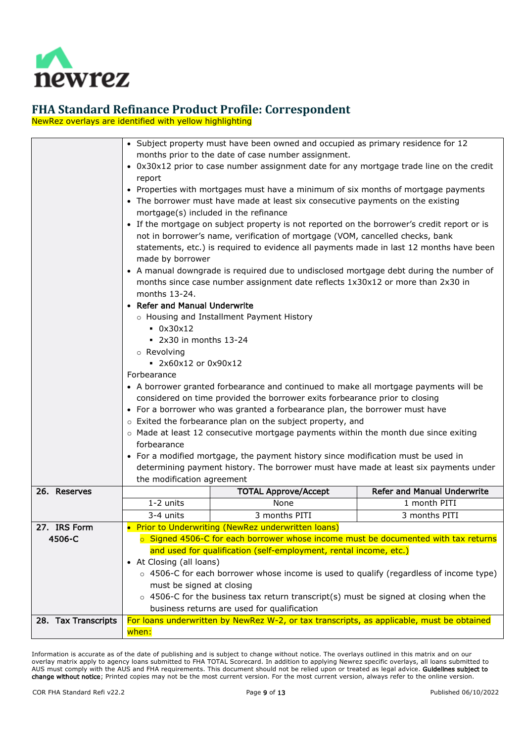

NewRez overlays are identified with yellow highlighting

<span id="page-8-2"></span><span id="page-8-1"></span><span id="page-8-0"></span>

|                        |                                                                                               | • Subject property must have been owned and occupied as primary residence for 12            |                                    |  |  |  |
|------------------------|-----------------------------------------------------------------------------------------------|---------------------------------------------------------------------------------------------|------------------------------------|--|--|--|
|                        |                                                                                               | months prior to the date of case number assignment.                                         |                                    |  |  |  |
|                        | report                                                                                        | • 0x30x12 prior to case number assignment date for any mortgage trade line on the credit    |                                    |  |  |  |
|                        |                                                                                               | • Properties with mortgages must have a minimum of six months of mortgage payments          |                                    |  |  |  |
|                        | • The borrower must have made at least six consecutive payments on the existing               |                                                                                             |                                    |  |  |  |
|                        |                                                                                               | mortgage(s) included in the refinance                                                       |                                    |  |  |  |
|                        |                                                                                               | • If the mortgage on subject property is not reported on the borrower's credit report or is |                                    |  |  |  |
|                        |                                                                                               | not in borrower's name, verification of mortgage (VOM, cancelled checks, bank               |                                    |  |  |  |
|                        |                                                                                               | statements, etc.) is required to evidence all payments made in last 12 months have been     |                                    |  |  |  |
|                        | made by borrower                                                                              |                                                                                             |                                    |  |  |  |
|                        |                                                                                               | • A manual downgrade is required due to undisclosed mortgage debt during the number of      |                                    |  |  |  |
|                        |                                                                                               | months since case number assignment date reflects 1x30x12 or more than 2x30 in              |                                    |  |  |  |
|                        | months 13-24.                                                                                 |                                                                                             |                                    |  |  |  |
|                        | • Refer and Manual Underwrite                                                                 |                                                                                             |                                    |  |  |  |
|                        |                                                                                               | o Housing and Installment Payment History                                                   |                                    |  |  |  |
|                        | $-0x30x12$                                                                                    |                                                                                             |                                    |  |  |  |
|                        | $\bullet$ 2x30 in months 13-24                                                                |                                                                                             |                                    |  |  |  |
|                        | o Revolving<br>2x60x12 or 0x90x12                                                             |                                                                                             |                                    |  |  |  |
|                        | Forbearance                                                                                   |                                                                                             |                                    |  |  |  |
|                        |                                                                                               | • A borrower granted forbearance and continued to make all mortgage payments will be        |                                    |  |  |  |
|                        |                                                                                               | considered on time provided the borrower exits forbearance prior to closing                 |                                    |  |  |  |
|                        |                                                                                               | • For a borrower who was granted a forbearance plan, the borrower must have                 |                                    |  |  |  |
|                        |                                                                                               | o Exited the forbearance plan on the subject property, and                                  |                                    |  |  |  |
|                        |                                                                                               | o Made at least 12 consecutive mortgage payments within the month due since exiting         |                                    |  |  |  |
|                        | forbearance                                                                                   |                                                                                             |                                    |  |  |  |
|                        |                                                                                               | • For a modified mortgage, the payment history since modification must be used in           |                                    |  |  |  |
|                        |                                                                                               | determining payment history. The borrower must have made at least six payments under        |                                    |  |  |  |
|                        | the modification agreement                                                                    |                                                                                             |                                    |  |  |  |
| 26. Reserves           |                                                                                               | <b>TOTAL Approve/Accept</b>                                                                 | <b>Refer and Manual Underwrite</b> |  |  |  |
|                        | 1-2 units                                                                                     | None                                                                                        | 1 month PITI                       |  |  |  |
|                        | 3-4 units                                                                                     | 3 months PITI                                                                               | 3 months PITI                      |  |  |  |
| 27. IRS Form<br>4506-C |                                                                                               | • Prior to Underwriting (NewRez underwritten loans)                                         |                                    |  |  |  |
|                        | ○ Signed 4506-C for each borrower whose income must be documented with tax returns            |                                                                                             |                                    |  |  |  |
|                        | and used for qualification (self-employment, rental income, etc.)<br>• At Closing (all loans) |                                                                                             |                                    |  |  |  |
|                        | ○ 4506-C for each borrower whose income is used to qualify (regardless of income type)        |                                                                                             |                                    |  |  |  |
|                        | must be signed at closing                                                                     |                                                                                             |                                    |  |  |  |
|                        |                                                                                               | $\circ$ 4506-C for the business tax return transcript(s) must be signed at closing when the |                                    |  |  |  |
|                        |                                                                                               | business returns are used for qualification                                                 |                                    |  |  |  |
| 28. Tax Transcripts    |                                                                                               | For loans underwritten by NewRez W-2, or tax transcripts, as applicable, must be obtained   |                                    |  |  |  |
|                        | when:                                                                                         |                                                                                             |                                    |  |  |  |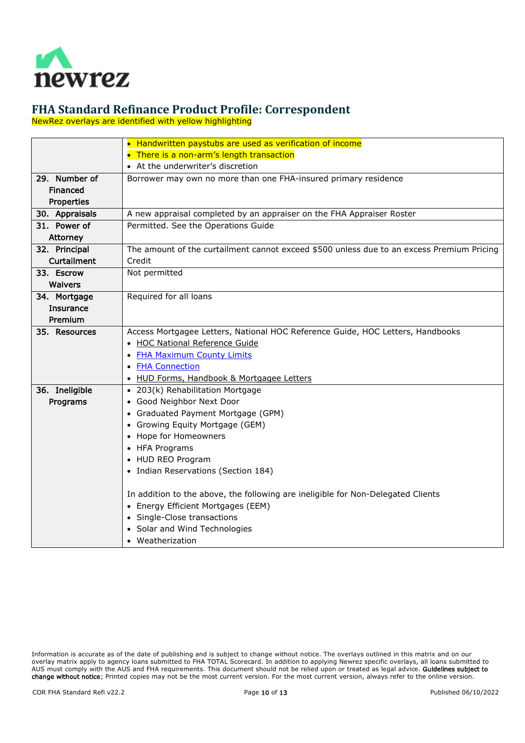

NewRez overlays are identified with yellow highlighting

<span id="page-9-7"></span><span id="page-9-6"></span><span id="page-9-5"></span><span id="page-9-4"></span><span id="page-9-3"></span><span id="page-9-2"></span><span id="page-9-1"></span><span id="page-9-0"></span>

|                  | • Handwritten paystubs are used as verification of income                                 |
|------------------|-------------------------------------------------------------------------------------------|
|                  | • There is a non-arm's length transaction                                                 |
|                  | • At the underwriter's discretion                                                         |
| 29. Number of    | Borrower may own no more than one FHA-insured primary residence                           |
| Financed         |                                                                                           |
| Properties       |                                                                                           |
| 30. Appraisals   | A new appraisal completed by an appraiser on the FHA Appraiser Roster                     |
| 31. Power of     | Permitted. See the Operations Guide                                                       |
| Attorney         |                                                                                           |
| 32. Principal    | The amount of the curtailment cannot exceed \$500 unless due to an excess Premium Pricing |
| Curtailment      | Credit                                                                                    |
| 33. Escrow       | Not permitted                                                                             |
| Waivers          |                                                                                           |
| 34. Mortgage     | Required for all loans                                                                    |
| <b>Insurance</b> |                                                                                           |
| Premium          |                                                                                           |
| 35. Resources    | Access Mortgagee Letters, National HOC Reference Guide, HOC Letters, Handbooks            |
|                  | • HOC National Reference Guide                                                            |
|                  | • FHA Maximum County Limits                                                               |
|                  | <b>FHA Connection</b>                                                                     |
|                  | HUD Forms, Handbook & Mortgagee Letters                                                   |
| 36. Ineligible   | • 203(k) Rehabilitation Mortgage                                                          |
| Programs         | • Good Neighbor Next Door                                                                 |
|                  | • Graduated Payment Mortgage (GPM)                                                        |
|                  | • Growing Equity Mortgage (GEM)                                                           |
|                  | Hope for Homeowners                                                                       |
|                  | • HFA Programs                                                                            |
|                  | • HUD REO Program                                                                         |
|                  | • Indian Reservations (Section 184)                                                       |
|                  |                                                                                           |
|                  | In addition to the above, the following are ineligible for Non-Delegated Clients          |
|                  | • Energy Efficient Mortgages (EEM)                                                        |
|                  | • Single-Close transactions                                                               |
|                  | • Solar and Wind Technologies                                                             |
|                  | • Weatherization                                                                          |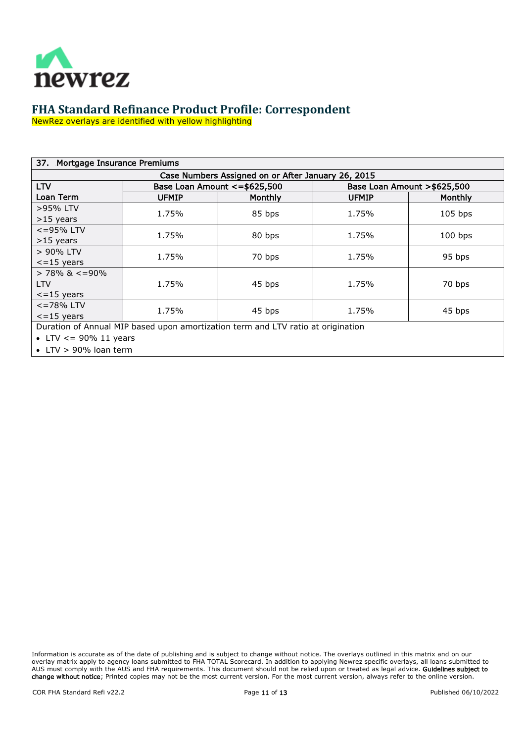

NewRez overlays are identified with yellow highlighting

<span id="page-10-0"></span>

| 37. Mortgage Insurance Premiums |              |                                                                                  |              |                              |
|---------------------------------|--------------|----------------------------------------------------------------------------------|--------------|------------------------------|
|                                 |              | Case Numbers Assigned on or After January 26, 2015                               |              |                              |
| <b>LTV</b>                      |              | Base Loan Amount <= \$625,500                                                    |              | Base Loan Amount > \$625,500 |
| Loan Term                       | <b>UFMIP</b> | <b>Monthly</b>                                                                   | <b>UFMIP</b> | <b>Monthly</b>               |
| >95% LTV                        | 1.75%        | 85 bps                                                                           | 1.75%        | $105$ bps                    |
| $>15$ years                     |              |                                                                                  |              |                              |
| $\epsilon$ =95% LTV             | 1.75%        | 80 bps                                                                           | 1.75%        | $100$ bps                    |
| $>15$ years                     |              |                                                                                  |              |                              |
| > 90% LTV                       | 1.75%        | 70 bps                                                                           | 1.75%        | 95 bps                       |
| $\epsilon$ =15 years            |              |                                                                                  |              |                              |
| $> 78\%$ & $\lt$ =90%           |              |                                                                                  |              |                              |
| <b>LTV</b>                      | 1.75%        | 45 bps                                                                           | 1.75%        | 70 bps                       |
| $\epsilon$ =15 years            |              |                                                                                  |              |                              |
| $\epsilon$ =78% LTV             | 1.75%        | 45 bps                                                                           | 1.75%        | 45 bps                       |
| $\epsilon$ =15 years            |              |                                                                                  |              |                              |
|                                 |              | Duration of Annual MIP based upon amortization term and LTV ratio at origination |              |                              |

• LTV  $<=$  90% 11 years

• LTV > 90% loan term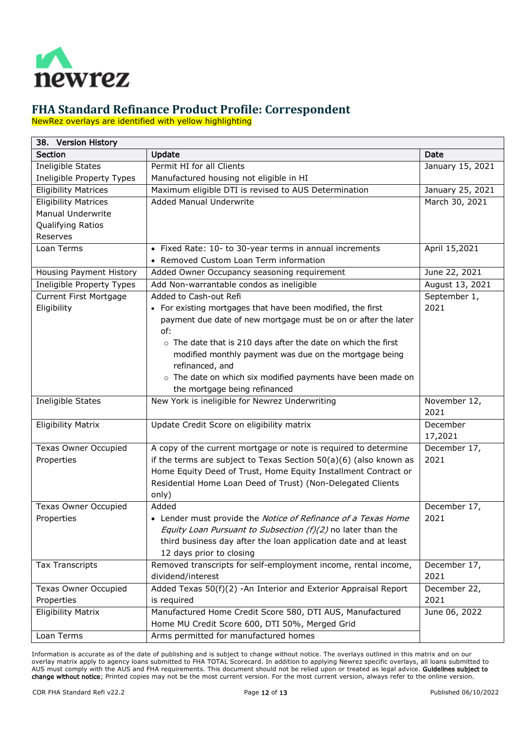

NewRez overlays are identified with yellow highlighting

<span id="page-11-0"></span>

| 38. Version History         |                                                                     |                  |  |  |
|-----------------------------|---------------------------------------------------------------------|------------------|--|--|
| <b>Section</b>              | Update                                                              | Date             |  |  |
| Ineligible States           | Permit HI for all Clients                                           | January 15, 2021 |  |  |
| Ineligible Property Types   | Manufactured housing not eligible in HI                             |                  |  |  |
| <b>Eligibility Matrices</b> | Maximum eligible DTI is revised to AUS Determination                | January 25, 2021 |  |  |
| <b>Eligibility Matrices</b> | <b>Added Manual Underwrite</b>                                      | March 30, 2021   |  |  |
| Manual Underwrite           |                                                                     |                  |  |  |
| Qualifying Ratios           |                                                                     |                  |  |  |
| Reserves                    |                                                                     |                  |  |  |
| Loan Terms                  | • Fixed Rate: 10- to 30-year terms in annual increments             | April 15,2021    |  |  |
|                             | • Removed Custom Loan Term information                              |                  |  |  |
| Housing Payment History     | Added Owner Occupancy seasoning requirement                         | June 22, 2021    |  |  |
| Ineligible Property Types   | Add Non-warrantable condos as ineligible                            | August 13, 2021  |  |  |
| Current First Mortgage      | Added to Cash-out Refi                                              | September 1,     |  |  |
| Eligibility                 | • For existing mortgages that have been modified, the first         | 2021             |  |  |
|                             | payment due date of new mortgage must be on or after the later      |                  |  |  |
|                             | of:                                                                 |                  |  |  |
|                             | $\circ$ The date that is 210 days after the date on which the first |                  |  |  |
|                             | modified monthly payment was due on the mortgage being              |                  |  |  |
|                             | refinanced, and                                                     |                  |  |  |
|                             | o The date on which six modified payments have been made on         |                  |  |  |
|                             | the mortgage being refinanced                                       |                  |  |  |
| <b>Ineligible States</b>    | New York is ineligible for Newrez Underwriting                      | November 12,     |  |  |
|                             |                                                                     | 2021             |  |  |
| <b>Eligibility Matrix</b>   | Update Credit Score on eligibility matrix                           | December         |  |  |
|                             |                                                                     | 17,2021          |  |  |
| <b>Texas Owner Occupied</b> | A copy of the current mortgage or note is required to determine     | December 17,     |  |  |
| Properties                  | if the terms are subject to Texas Section $50(a)(6)$ (also known as | 2021             |  |  |
|                             | Home Equity Deed of Trust, Home Equity Installment Contract or      |                  |  |  |
|                             | Residential Home Loan Deed of Trust) (Non-Delegated Clients         |                  |  |  |
|                             | only)                                                               |                  |  |  |
| Texas Owner Occupied        | Added                                                               | December 17,     |  |  |
| Properties                  | • Lender must provide the Notice of Refinance of a Texas Home       | 2021             |  |  |
|                             | Equity Loan Pursuant to Subsection (f)(2) no later than the         |                  |  |  |
|                             | third business day after the loan application date and at least     |                  |  |  |
|                             | 12 days prior to closing                                            |                  |  |  |
| <b>Tax Transcripts</b>      | Removed transcripts for self-employment income, rental income,      | December 17,     |  |  |
|                             | dividend/interest                                                   | 2021             |  |  |
| <b>Texas Owner Occupied</b> | Added Texas 50(f)(2) -An Interior and Exterior Appraisal Report     | December 22,     |  |  |
| Properties                  | is required                                                         | 2021             |  |  |
| <b>Eligibility Matrix</b>   | Manufactured Home Credit Score 580, DTI AUS, Manufactured           | June 06, 2022    |  |  |
|                             | Home MU Credit Score 600, DTI 50%, Merged Grid                      |                  |  |  |
| Loan Terms                  | Arms permitted for manufactured homes                               |                  |  |  |